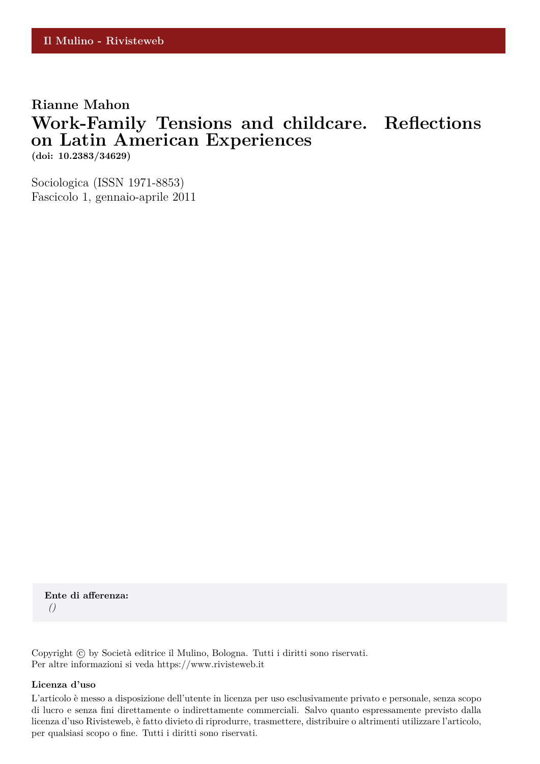## **Rianne Mahon Work-Family Tensions and childcare. Reflections on Latin American Experiences (doi: 10.2383/34629)**

Sociologica (ISSN 1971-8853) Fascicolo 1, gennaio-aprile 2011

**Ente di afferenza:** *()*

Copyright © by Società editrice il Mulino, Bologna. Tutti i diritti sono riservati. Per altre informazioni si veda https://www.rivisteweb.it

#### **Licenza d'uso**

L'articolo è messo a disposizione dell'utente in licenza per uso esclusivamente privato e personale, senza scopo di lucro e senza fini direttamente o indirettamente commerciali. Salvo quanto espressamente previsto dalla licenza d'uso Rivisteweb, è fatto divieto di riprodurre, trasmettere, distribuire o altrimenti utilizzare l'articolo, per qualsiasi scopo o fine. Tutti i diritti sono riservati.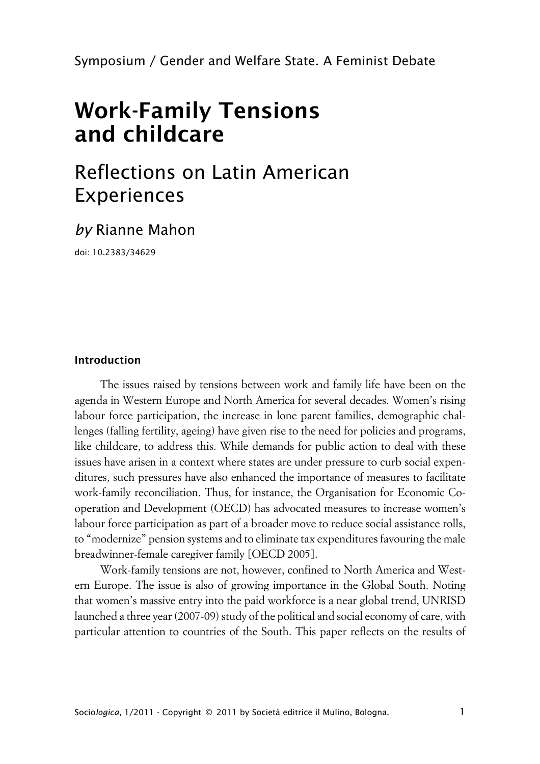Symposium / Gender and Welfare State. A Feminist Debate

# **Work-Family Tensions and childcare**

# Reflections on Latin American Experiences

# *by* Rianne Mahon

doi: 10.2383/34629

### **Introduction**

The issues raised by tensions between work and family life have been on the agenda in Western Europe and North America for several decades. Women's rising labour force participation, the increase in lone parent families, demographic challenges (falling fertility, ageing) have given rise to the need for policies and programs, like childcare, to address this. While demands for public action to deal with these issues have arisen in a context where states are under pressure to curb social expenditures, such pressures have also enhanced the importance of measures to facilitate work-family reconciliation. Thus, for instance, the Organisation for Economic Cooperation and Development (OECD) has advocated measures to increase women's labour force participation as part of a broader move to reduce social assistance rolls, to "modernize" pension systems and to eliminate tax expenditures favouring the male breadwinner-female caregiver family [OECD 2005].

Work-family tensions are not, however, confined to North America and Western Europe. The issue is also of growing importance in the Global South. Noting that women's massive entry into the paid workforce is a near global trend, UNRISD launched a three year (2007-09) study of the political and social economy of care, with particular attention to countries of the South. This paper reflects on the results of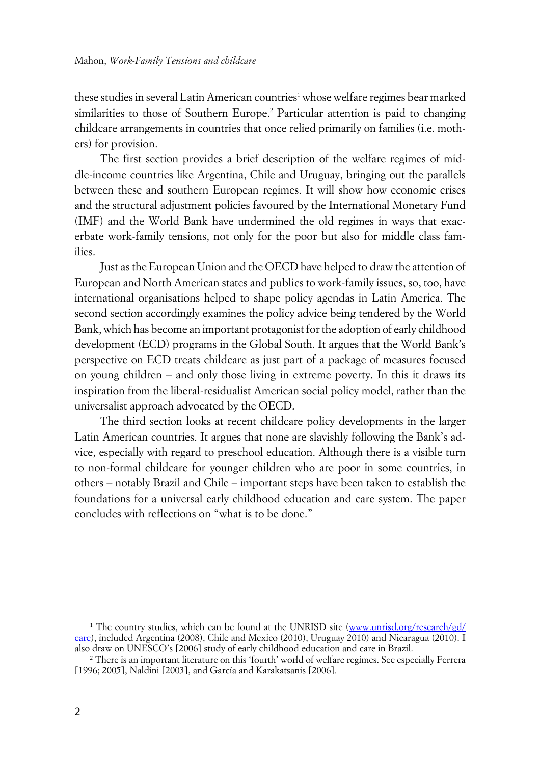these studies in several Latin American countries<sup>1</sup> whose welfare regimes bear marked similarities to those of Southern Europe.<sup>2</sup> Particular attention is paid to changing childcare arrangements in countries that once relied primarily on families (i.e. mothers) for provision.

The first section provides a brief description of the welfare regimes of middle-income countries like Argentina, Chile and Uruguay, bringing out the parallels between these and southern European regimes. It will show how economic crises and the structural adjustment policies favoured by the International Monetary Fund (IMF) and the World Bank have undermined the old regimes in ways that exacerbate work-family tensions, not only for the poor but also for middle class families.

Just as the European Union and the OECD have helped to draw the attention of European and North American states and publics to work-family issues, so, too, have international organisations helped to shape policy agendas in Latin America. The second section accordingly examines the policy advice being tendered by the World Bank, which has become an important protagonist for the adoption of early childhood development (ECD) programs in the Global South. It argues that the World Bank's perspective on ECD treats childcare as just part of a package of measures focused on young children – and only those living in extreme poverty. In this it draws its inspiration from the liberal-residualist American social policy model, rather than the universalist approach advocated by the OECD.

The third section looks at recent childcare policy developments in the larger Latin American countries. It argues that none are slavishly following the Bank's advice, especially with regard to preschool education. Although there is a visible turn to non-formal childcare for younger children who are poor in some countries, in others – notably Brazil and Chile – important steps have been taken to establish the foundations for a universal early childhood education and care system. The paper concludes with reflections on "what is to be done."

<sup>&</sup>lt;sup>1</sup> The country studies, which can be found at the UNRISD site ([www.unrisd.org/research/gd/](http://www.unrisd.org/research/gd/care) [care](http://www.unrisd.org/research/gd/care)), included Argentina (2008), Chile and Mexico (2010), Uruguay 2010) and Nicaragua (2010). I also draw on UNESCO's [2006] study of early childhood education and care in Brazil.

<sup>2</sup> There is an important literature on this 'fourth' world of welfare regimes. See especially Ferrera [1996; 2005], Naldini [2003], and García and Karakatsanis [2006].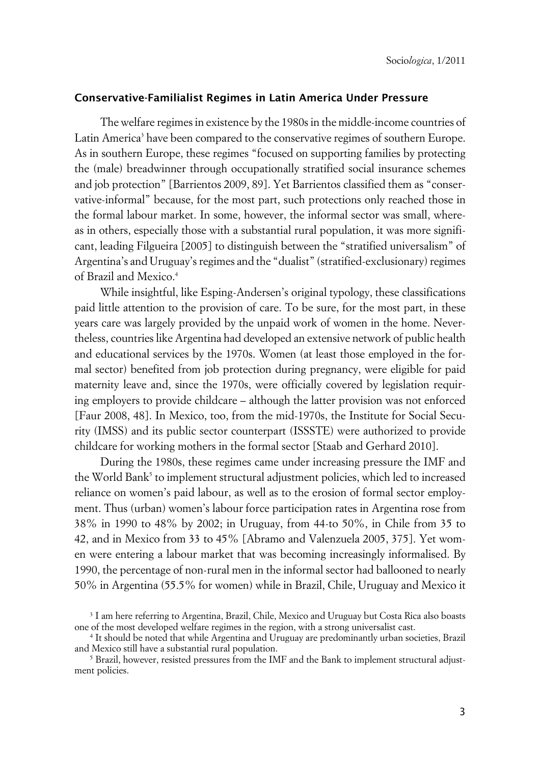#### **xConservative-Familialist Regimes in Latin America Under Pressure**

The welfare regimes in existence by the 1980s in the middle-income countries of Latin America<sup>3</sup> have been compared to the conservative regimes of southern Europe. As in southern Europe, these regimes "focused on supporting families by protecting the (male) breadwinner through occupationally stratified social insurance schemes and job protection" [Barrientos 2009, 89]. Yet Barrientos classified them as "conservative-informal" because, for the most part, such protections only reached those in the formal labour market. In some, however, the informal sector was small, whereas in others, especially those with a substantial rural population, it was more significant, leading Filgueira [2005] to distinguish between the "stratified universalism" of Argentina's and Uruguay's regimes and the "dualist" (stratified-exclusionary) regimes of Brazil and Mexico.<sup>4</sup>

While insightful, like Esping-Andersen's original typology, these classifications paid little attention to the provision of care. To be sure, for the most part, in these years care was largely provided by the unpaid work of women in the home. Nevertheless, countries like Argentina had developed an extensive network of public health and educational services by the 1970s. Women (at least those employed in the formal sector) benefited from job protection during pregnancy, were eligible for paid maternity leave and, since the 1970s, were officially covered by legislation requiring employers to provide childcare – although the latter provision was not enforced [Faur 2008, 48]. In Mexico, too, from the mid-1970s, the Institute for Social Security (IMSS) and its public sector counterpart (ISSSTE) were authorized to provide childcare for working mothers in the formal sector [Staab and Gerhard 2010].

During the 1980s, these regimes came under increasing pressure the IMF and the World Bank<sup>5</sup> to implement structural adjustment policies, which led to increased reliance on women's paid labour, as well as to the erosion of formal sector employment. Thus (urban) women's labour force participation rates in Argentina rose from 38% in 1990 to 48% by 2002; in Uruguay, from 44-to 50%, in Chile from 35 to 42, and in Mexico from 33 to 45% [Abramo and Valenzuela 2005, 375]. Yet women were entering a labour market that was becoming increasingly informalised. By 1990, the percentage of non-rural men in the informal sector had ballooned to nearly 50% in Argentina (55.5% for women) while in Brazil, Chile, Uruguay and Mexico it

<sup>3</sup> I am here referring to Argentina, Brazil, Chile, Mexico and Uruguay but Costa Rica also boasts one of the most developed welfare regimes in the region, with a strong universalist cast.

<sup>4</sup> It should be noted that while Argentina and Uruguay are predominantly urban societies, Brazil and Mexico still have a substantial rural population.

 $5$  Brazil, however, resisted pressures from the IMF and the Bank to implement structural adjustment policies.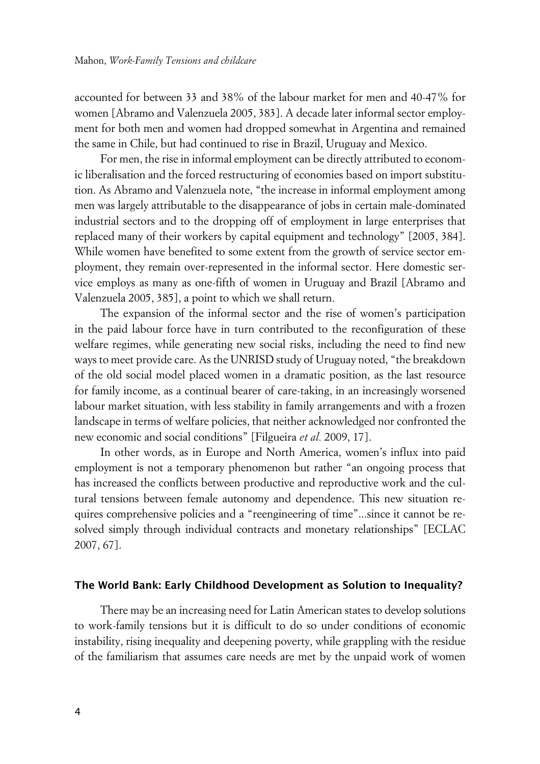accounted for between 33 and 38% of the labour market for men and 40-47% for women [Abramo and Valenzuela 2005, 383]. A decade later informal sector employment for both men and women had dropped somewhat in Argentina and remained the same in Chile, but had continued to rise in Brazil, Uruguay and Mexico.

For men, the rise in informal employment can be directly attributed to economic liberalisation and the forced restructuring of economies based on import substitution. As Abramo and Valenzuela note, "the increase in informal employment among men was largely attributable to the disappearance of jobs in certain male-dominated industrial sectors and to the dropping off of employment in large enterprises that replaced many of their workers by capital equipment and technology" [2005, 384]. While women have benefited to some extent from the growth of service sector employment, they remain over-represented in the informal sector. Here domestic service employs as many as one-fifth of women in Uruguay and Brazil [Abramo and Valenzuela 2005, 385], a point to which we shall return.

The expansion of the informal sector and the rise of women's participation in the paid labour force have in turn contributed to the reconfiguration of these welfare regimes, while generating new social risks, including the need to find new ways to meet provide care. As the UNRISD study of Uruguay noted, "the breakdown of the old social model placed women in a dramatic position, as the last resource for family income, as a continual bearer of care-taking, in an increasingly worsened labour market situation, with less stability in family arrangements and with a frozen landscape in terms of welfare policies, that neither acknowledged nor confronted the new economic and social conditions" [Filgueira *et al.* 2009, 17].

In other words, as in Europe and North America, women's influx into paid employment is not a temporary phenomenon but rather "an ongoing process that has increased the conflicts between productive and reproductive work and the cultural tensions between female autonomy and dependence. This new situation requires comprehensive policies and a "reengineering of time"...since it cannot be resolved simply through individual contracts and monetary relationships" [ECLAC 2007, 67].

#### **xThe World Bank: Early Childhood Development as Solution to Inequality?**

There may be an increasing need for Latin American states to develop solutions to work-family tensions but it is difficult to do so under conditions of economic instability, rising inequality and deepening poverty, while grappling with the residue of the familiarism that assumes care needs are met by the unpaid work of women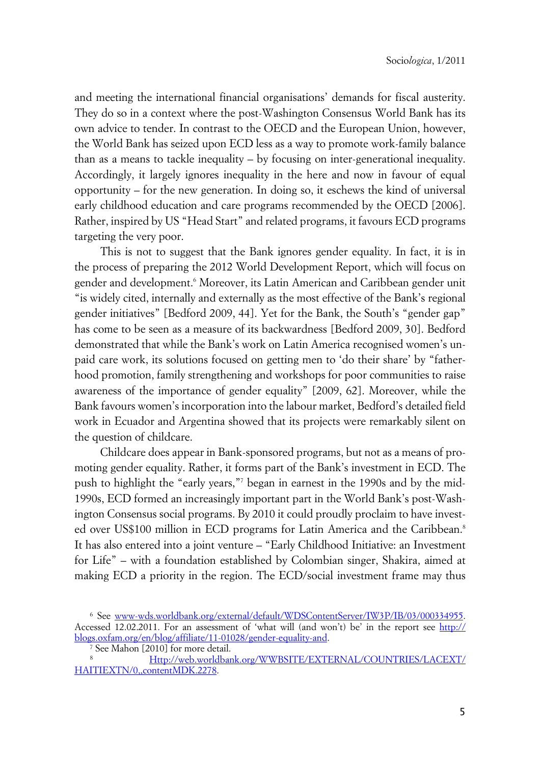and meeting the international financial organisations' demands for fiscal austerity. They do so in a context where the post-Washington Consensus World Bank has its own advice to tender. In contrast to the OECD and the European Union, however, the World Bank has seized upon ECD less as a way to promote work-family balance than as a means to tackle inequality – by focusing on inter-generational inequality. Accordingly, it largely ignores inequality in the here and now in favour of equal opportunity – for the new generation. In doing so, it eschews the kind of universal early childhood education and care programs recommended by the OECD [2006]. Rather, inspired by US "Head Start" and related programs, it favours ECD programs targeting the very poor.

This is not to suggest that the Bank ignores gender equality. In fact, it is in the process of preparing the 2012 World Development Report, which will focus on gender and development.' Moreover, its Latin American and Caribbean gender unit "is widely cited, internally and externally as the most effective of the Bank's regional gender initiatives" [Bedford 2009, 44]. Yet for the Bank, the South's "gender gap" has come to be seen as a measure of its backwardness [Bedford 2009, 30]. Bedford demonstrated that while the Bank's work on Latin America recognised women's unpaid care work, its solutions focused on getting men to 'do their share' by "fatherhood promotion, family strengthening and workshops for poor communities to raise awareness of the importance of gender equality" [2009, 62]. Moreover, while the Bank favours women's incorporation into the labour market, Bedford's detailed field work in Ecuador and Argentina showed that its projects were remarkably silent on the question of childcare.

Childcare does appear in Bank-sponsored programs, but not as a means of promoting gender equality. Rather, it forms part of the Bank's investment in ECD. The push to highlight the "early years,"<sup>7</sup> began in earnest in the 1990s and by the mid-1990s, ECD formed an increasingly important part in the World Bank's post-Washington Consensus social programs. By 2010 it could proudly proclaim to have invested over US\$100 million in ECD programs for Latin America and the Caribbean.<sup>8</sup> It has also entered into a joint venture – "Early Childhood Initiative: an Investment for Life" – with a foundation established by Colombian singer, Shakira, aimed at making ECD a priority in the region. The ECD/social investment frame may thus

<sup>6</sup> See <www-wds.worldbank.org/external/default/WDSContentServer/IW3P/IB/03/000334955>. Accessed 12.02.2011. For an assessment of 'what will (and won't) be' in the report see [http://](http://blogs.oxfam.org/en/blog/affiliate/11-01028/gender-equality-and) [blogs.oxfam.org/en/blog/affiliate/11-01028/gender-equality-and.](http://blogs.oxfam.org/en/blog/affiliate/11-01028/gender-equality-and)

<sup>7</sup> See Mahon [2010] for more detail.

<sup>8</sup> [Http://web.worldbank.org/WWBSITE/EXTERNAL/COUNTRIES/LACEXT/](http://web.worldbank.org/WWBSITE/EXTERNAL/COUNTRIES/LACEXT/HAITIEXTN/0,,contentMDK.2278) [HAITIEXTN/0,,contentMDK.2278.](http://web.worldbank.org/WWBSITE/EXTERNAL/COUNTRIES/LACEXT/HAITIEXTN/0,,contentMDK.2278)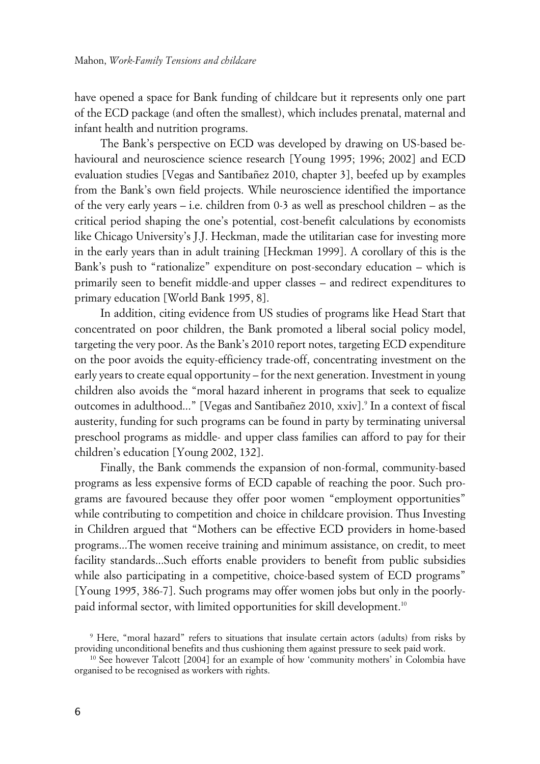have opened a space for Bank funding of childcare but it represents only one part of the ECD package (and often the smallest), which includes prenatal, maternal and infant health and nutrition programs.

The Bank's perspective on ECD was developed by drawing on US-based behavioural and neuroscience science research [Young 1995; 1996; 2002] and ECD evaluation studies [Vegas and Santibañez 2010, chapter 3], beefed up by examples from the Bank's own field projects. While neuroscience identified the importance of the very early years – i.e. children from 0-3 as well as preschool children – as the critical period shaping the one's potential, cost-benefit calculations by economists like Chicago University's J.J. Heckman, made the utilitarian case for investing more in the early years than in adult training [Heckman 1999]. A corollary of this is the Bank's push to "rationalize" expenditure on post-secondary education – which is primarily seen to benefit middle-and upper classes – and redirect expenditures to primary education [World Bank 1995, 8].

In addition, citing evidence from US studies of programs like Head Start that concentrated on poor children, the Bank promoted a liberal social policy model, targeting the very poor. As the Bank's 2010 report notes, targeting ECD expenditure on the poor avoids the equity-efficiency trade-off, concentrating investment on the early years to create equal opportunity – for the next generation. Investment in young children also avoids the "moral hazard inherent in programs that seek to equalize outcomes in adulthood..." [Vegas and Santibañez 2010, xxiv].<sup>9</sup> In a context of fiscal austerity, funding for such programs can be found in party by terminating universal preschool programs as middle- and upper class families can afford to pay for their children's education [Young 2002, 132].

Finally, the Bank commends the expansion of non-formal, community-based programs as less expensive forms of ECD capable of reaching the poor. Such programs are favoured because they offer poor women "employment opportunities" while contributing to competition and choice in childcare provision. Thus Investing in Children argued that "Mothers can be effective ECD providers in home-based programs...The women receive training and minimum assistance, on credit, to meet facility standards...Such efforts enable providers to benefit from public subsidies while also participating in a competitive, choice-based system of ECD programs" [Young 1995, 386-7]. Such programs may offer women jobs but only in the poorlypaid informal sector, with limited opportunities for skill development.<sup>10</sup>  $\ddot{\phantom{0}}$ 

<sup>9</sup> Here, "moral hazard" refers to situations that insulate certain actors (adults) from risks by providing unconditional benefits and thus cushioning them against pressure to seek paid work.

<sup>&</sup>lt;sup>10</sup> See however Talcott [2004] for an example of how 'community mothers' in Colombia have organised to be recognised as workers with rights.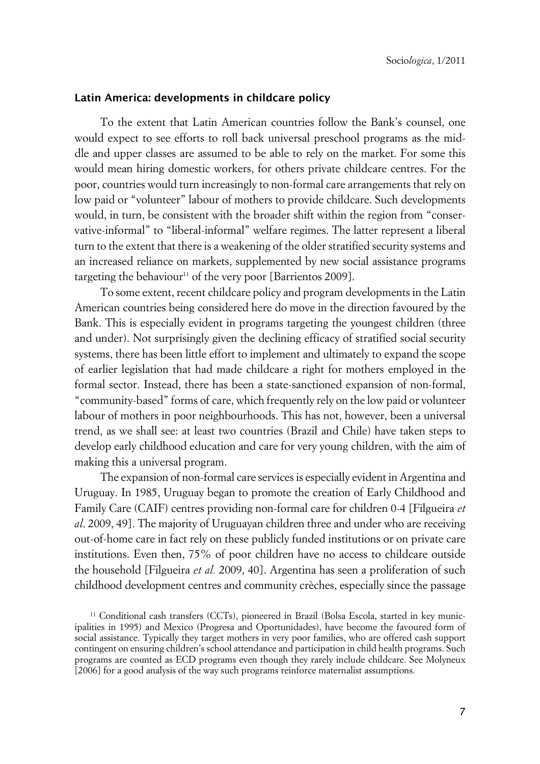#### **xLatin America: developments in childcare policy**

To the extent that Latin American countries follow the Bank's counsel, one would expect to see efforts to roll back universal preschool programs as the middle and upper classes are assumed to be able to rely on the market. For some this would mean hiring domestic workers, for others private childcare centres. For the poor, countries would turn increasingly to non-formal care arrangements that rely on low paid or "volunteer" labour of mothers to provide childcare. Such developments would, in turn, be consistent with the broader shift within the region from "conservative-informal" to "liberal-informal" welfare regimes. The latter represent a liberal turn to the extent that there is a weakening of the older stratified security systems and an increased reliance on markets, supplemented by new social assistance programs targeting the behaviour<sup>11</sup> of the very poor [Barrientos 2009].

To some extent, recent childcare policy and program developments in the Latin American countries being considered here do move in the direction favoured by the Bank. This is especially evident in programs targeting the youngest children (three and under). Not surprisingly given the declining efficacy of stratified social security systems, there has been little effort to implement and ultimately to expand the scope of earlier legislation that had made childcare a right for mothers employed in the formal sector. Instead, there has been a state-sanctioned expansion of non-formal, "community-based" forms of care, which frequently rely on the low paid or volunteer labour of mothers in poor neighbourhoods. This has not, however, been a universal trend, as we shall see: at least two countries (Brazil and Chile) have taken steps to develop early childhood education and care for very young children, with the aim of making this a universal program.

The expansion of non-formal care services is especially evident in Argentina and Uruguay. In 1985, Uruguay began to promote the creation of Early Childhood and Family Care (CAIF) centres providing non-formal care for children 0-4 [Filgueira *et al*. 2009, 49]. The majority of Uruguayan children three and under who are receiving out-of-home care in fact rely on these publicly funded institutions or on private care institutions. Even then, 75% of poor children have no access to childcare outside the household [Filgueira *et al.* 2009, 40]. Argentina has seen a proliferation of such childhood development centres and community crèches, especially since the passage

<sup>11</sup> Conditional cash transfers (CCTs), pioneered in Brazil (Bolsa Escola, started in key municipalities in 1995) and Mexico (Progresa and Oportunidades), have become the favoured form of social assistance. Typically they target mothers in very poor families, who are offered cash support contingent on ensuring children's school attendance and participation in child health programs. Such programs are counted as ECD programs even though they rarely include childcare. See Molyneux [2006] for a good analysis of the way such programs reinforce maternalist assumptions.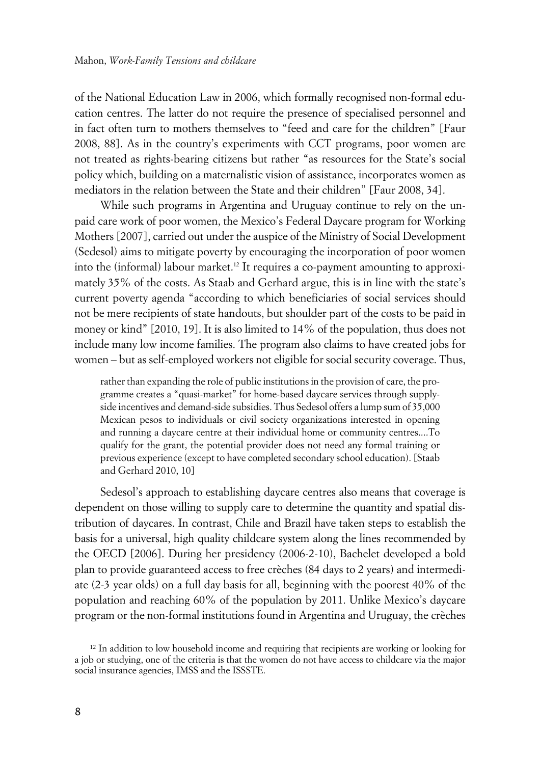of the National Education Law in 2006, which formally recognised non-formal education centres. The latter do not require the presence of specialised personnel and in fact often turn to mothers themselves to "feed and care for the children" [Faur 2008, 88]. As in the country's experiments with CCT programs, poor women are not treated as rights-bearing citizens but rather "as resources for the State's social policy which, building on a maternalistic vision of assistance, incorporates women as mediators in the relation between the State and their children" [Faur 2008, 34].

While such programs in Argentina and Uruguay continue to rely on the unpaid care work of poor women, the Mexico's Federal Daycare program for Working Mothers [2007], carried out under the auspice of the Ministry of Social Development (Sedesol) aims to mitigate poverty by encouraging the incorporation of poor women into the (informal) labour market.12 It requires a co-payment amounting to approximately 35% of the costs. As Staab and Gerhard argue, this is in line with the state's current poverty agenda "according to which beneficiaries of social services should not be mere recipients of state handouts, but shoulder part of the costs to be paid in money or kind" [2010, 19]. It is also limited to 14% of the population, thus does not include many low income families. The program also claims to have created jobs for women – but as self-employed workers not eligible for social security coverage. Thus,

rather than expanding the role of public institutions in the provision of care, the programme creates a "quasi-market" for home-based daycare services through supplyside incentives and demand-side subsidies. Thus Sedesol offers a lump sum of 35,000 Mexican pesos to individuals or civil society organizations interested in opening and running a daycare centre at their individual home or community centres....To qualify for the grant, the potential provider does not need any formal training or previous experience (except to have completed secondary school education). [Staab and Gerhard 2010, 10]

Sedesol's approach to establishing daycare centres also means that coverage is dependent on those willing to supply care to determine the quantity and spatial distribution of daycares. In contrast, Chile and Brazil have taken steps to establish the basis for a universal, high quality childcare system along the lines recommended by the OECD [2006]. During her presidency (2006-2-10), Bachelet developed a bold plan to provide guaranteed access to free crèches (84 days to 2 years) and intermediate (2-3 year olds) on a full day basis for all, beginning with the poorest 40% of the population and reaching 60% of the population by 2011. Unlike Mexico's daycare program or the non-formal institutions found in Argentina and Uruguay, the crèches

<sup>&</sup>lt;sup>12</sup> In addition to low household income and requiring that recipients are working or looking for a job or studying, one of the criteria is that the women do not have access to childcare via the major social insurance agencies, IMSS and the ISSSTE.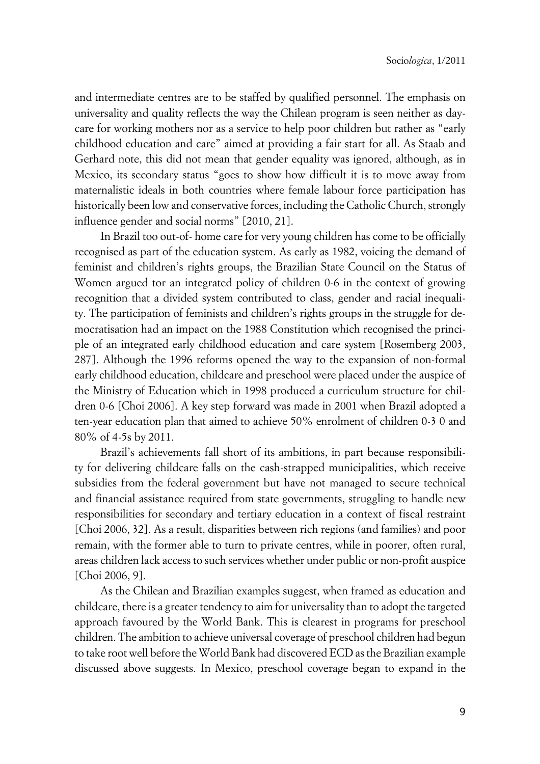and intermediate centres are to be staffed by qualified personnel. The emphasis on universality and quality reflects the way the Chilean program is seen neither as daycare for working mothers nor as a service to help poor children but rather as "early childhood education and care" aimed at providing a fair start for all. As Staab and Gerhard note, this did not mean that gender equality was ignored, although, as in Mexico, its secondary status "goes to show how difficult it is to move away from maternalistic ideals in both countries where female labour force participation has historically been low and conservative forces, including the Catholic Church, strongly influence gender and social norms" [2010, 21].

In Brazil too out-of- home care for very young children has come to be officially recognised as part of the education system. As early as 1982, voicing the demand of feminist and children's rights groups, the Brazilian State Council on the Status of Women argued tor an integrated policy of children 0-6 in the context of growing recognition that a divided system contributed to class, gender and racial inequality. The participation of feminists and children's rights groups in the struggle for democratisation had an impact on the 1988 Constitution which recognised the principle of an integrated early childhood education and care system [Rosemberg 2003, 287]. Although the 1996 reforms opened the way to the expansion of non-formal early childhood education, childcare and preschool were placed under the auspice of the Ministry of Education which in 1998 produced a curriculum structure for children 0-6 [Choi 2006]. A key step forward was made in 2001 when Brazil adopted a ten-year education plan that aimed to achieve 50% enrolment of children 0-3 0 and 80% of 4-5s by 2011.

Brazil's achievements fall short of its ambitions, in part because responsibility for delivering childcare falls on the cash-strapped municipalities, which receive subsidies from the federal government but have not managed to secure technical and financial assistance required from state governments, struggling to handle new responsibilities for secondary and tertiary education in a context of fiscal restraint [Choi 2006, 32]. As a result, disparities between rich regions (and families) and poor remain, with the former able to turn to private centres, while in poorer, often rural, areas children lack access to such services whether under public or non-profit auspice [Choi 2006, 9].

As the Chilean and Brazilian examples suggest, when framed as education and childcare, there is a greater tendency to aim for universality than to adopt the targeted approach favoured by the World Bank. This is clearest in programs for preschool children. The ambition to achieve universal coverage of preschool children had begun to take root well before the World Bank had discovered ECD as the Brazilian example discussed above suggests. In Mexico, preschool coverage began to expand in the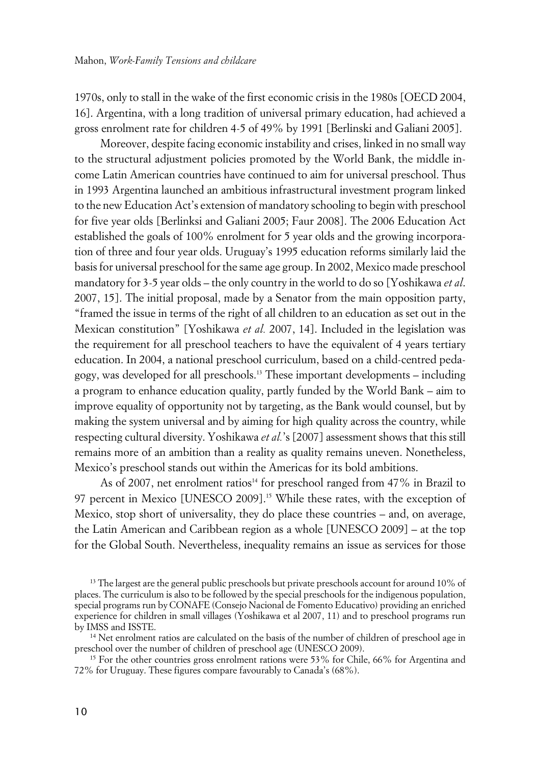1970s, only to stall in the wake of the first economic crisis in the 1980s [OECD 2004, 16]. Argentina, with a long tradition of universal primary education, had achieved a gross enrolment rate for children 4-5 of 49% by 1991 [Berlinski and Galiani 2005].

Moreover, despite facing economic instability and crises, linked in no small way to the structural adjustment policies promoted by the World Bank, the middle income Latin American countries have continued to aim for universal preschool. Thus in 1993 Argentina launched an ambitious infrastructural investment program linked to the new Education Act's extension of mandatory schooling to begin with preschool for five year olds [Berlinksi and Galiani 2005; Faur 2008]. The 2006 Education Act established the goals of 100% enrolment for 5 year olds and the growing incorporation of three and four year olds. Uruguay's 1995 education reforms similarly laid the basis for universal preschool for the same age group. In 2002, Mexico made preschool mandatory for 3-5 year olds – the only country in the world to do so [Yoshikawa *et al*. 2007, 15]. The initial proposal, made by a Senator from the main opposition party, "framed the issue in terms of the right of all children to an education as set out in the Mexican constitution" [Yoshikawa *et al.* 2007, 14]. Included in the legislation was the requirement for all preschool teachers to have the equivalent of 4 years tertiary education. In 2004, a national preschool curriculum, based on a child-centred pedagogy, was developed for all preschools.<sup>13</sup> These important developments – including a program to enhance education quality, partly funded by the World Bank – aim to improve equality of opportunity not by targeting, as the Bank would counsel, but by making the system universal and by aiming for high quality across the country, while respecting cultural diversity. Yoshikawa *et al.*'s [2007] assessment shows that this still remains more of an ambition than a reality as quality remains uneven. Nonetheless, Mexico's preschool stands out within the Americas for its bold ambitions.

As of 2007, net enrolment ratios<sup>14</sup> for preschool ranged from 47% in Brazil to 97 percent in Mexico [UNESCO 2009].<sup>15</sup> While these rates, with the exception of Mexico, stop short of universality, they do place these countries – and, on average, the Latin American and Caribbean region as a whole [UNESCO 2009] – at the top for the Global South. Nevertheless, inequality remains an issue as services for those

<sup>14</sup> Net enrolment ratios are calculated on the basis of the number of children of preschool age in preschool over the number of children of preschool age (UNESCO 2009).

<sup>15</sup> For the other countries gross enrolment rations were 53% for Chile, 66% for Argentina and 72% for Uruguay. These figures compare favourably to Canada's (68%).

<sup>&</sup>lt;sup>13</sup> The largest are the general public preschools but private preschools account for around 10% of places. The curriculum is also to be followed by the special preschools for the indigenous population, special programs run by CONAFE (Consejo Nacional de Fomento Educativo) providing an enriched experience for children in small villages (Yoshikawa et al 2007, 11) and to preschool programs run by IMSS and ISSTE.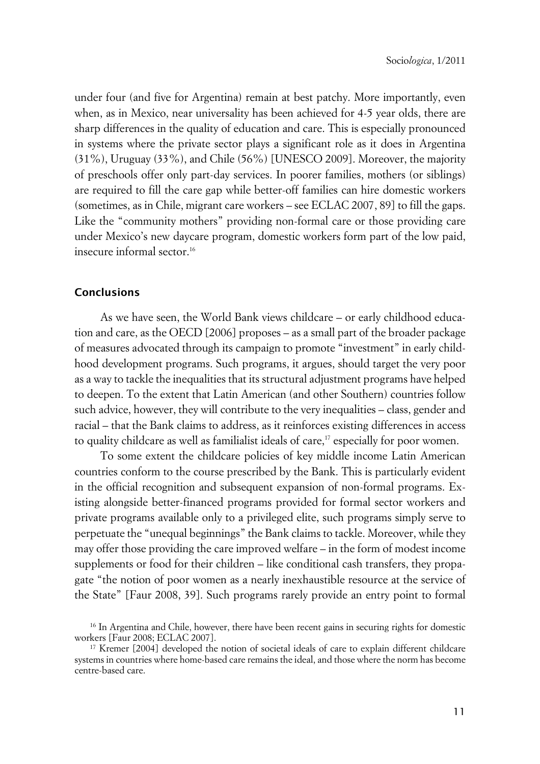under four (and five for Argentina) remain at best patchy. More importantly, even when, as in Mexico, near universality has been achieved for 4-5 year olds, there are sharp differences in the quality of education and care. This is especially pronounced in systems where the private sector plays a significant role as it does in Argentina (31%), Uruguay (33%), and Chile (56%) [UNESCO 2009]. Moreover, the majority of preschools offer only part-day services. In poorer families, mothers (or siblings) are required to fill the care gap while better-off families can hire domestic workers (sometimes, as in Chile, migrant care workers – see ECLAC 2007, 89] to fill the gaps. Like the "community mothers" providing non-formal care or those providing care under Mexico's new daycare program, domestic workers form part of the low paid, insecure informal sector.<sup>16</sup>

### **Conclusions**

As we have seen, the World Bank views childcare – or early childhood education and care, as the OECD [2006] proposes – as a small part of the broader package of measures advocated through its campaign to promote "investment" in early childhood development programs. Such programs, it argues, should target the very poor as a way to tackle the inequalities that its structural adjustment programs have helped to deepen. To the extent that Latin American (and other Southern) countries follow such advice, however, they will contribute to the very inequalities – class, gender and racial – that the Bank claims to address, as it reinforces existing differences in access to quality childcare as well as familialist ideals of care,<sup>17</sup> especially for poor women.

To some extent the childcare policies of key middle income Latin American countries conform to the course prescribed by the Bank. This is particularly evident in the official recognition and subsequent expansion of non-formal programs. Existing alongside better-financed programs provided for formal sector workers and private programs available only to a privileged elite, such programs simply serve to perpetuate the "unequal beginnings" the Bank claims to tackle. Moreover, while they may offer those providing the care improved welfare – in the form of modest income supplements or food for their children – like conditional cash transfers, they propagate "the notion of poor women as a nearly inexhaustible resource at the service of the State" [Faur 2008, 39]. Such programs rarely provide an entry point to formal

<sup>&</sup>lt;sup>16</sup> In Argentina and Chile, however, there have been recent gains in securing rights for domestic workers [Faur 2008; ECLAC 2007].

<sup>&</sup>lt;sup>17</sup> Kremer [2004] developed the notion of societal ideals of care to explain different childcare systems in countries where home-based care remains the ideal, and those where the norm has become centre-based care.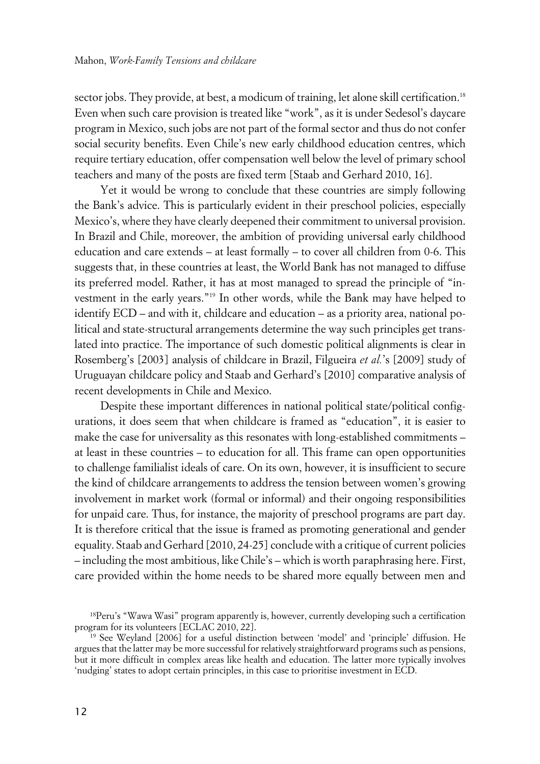sector jobs. They provide, at best, a modicum of training, let alone skill certification.<sup>18</sup> Even when such care provision is treated like "work", as it is under Sedesol's daycare program in Mexico, such jobs are not part of the formal sector and thus do not confer social security benefits. Even Chile's new early childhood education centres, which require tertiary education, offer compensation well below the level of primary school teachers and many of the posts are fixed term [Staab and Gerhard 2010, 16].

Yet it would be wrong to conclude that these countries are simply following the Bank's advice. This is particularly evident in their preschool policies, especially Mexico's, where they have clearly deepened their commitment to universal provision. In Brazil and Chile, moreover, the ambition of providing universal early childhood education and care extends – at least formally – to cover all children from 0-6. This suggests that, in these countries at least, the World Bank has not managed to diffuse its preferred model. Rather, it has at most managed to spread the principle of "investment in the early years."<sup>19</sup> In other words, while the Bank may have helped to identify ECD – and with it, childcare and education – as a priority area, national political and state-structural arrangements determine the way such principles get translated into practice. The importance of such domestic political alignments is clear in Rosemberg's [2003] analysis of childcare in Brazil, Filgueira *et al.*'s [2009] study of Uruguayan childcare policy and Staab and Gerhard's [2010] comparative analysis of recent developments in Chile and Mexico.

Despite these important differences in national political state/political configurations, it does seem that when childcare is framed as "education", it is easier to make the case for universality as this resonates with long-established commitments – at least in these countries – to education for all. This frame can open opportunities to challenge familialist ideals of care. On its own, however, it is insufficient to secure the kind of childcare arrangements to address the tension between women's growing involvement in market work (formal or informal) and their ongoing responsibilities for unpaid care. Thus, for instance, the majority of preschool programs are part day. It is therefore critical that the issue is framed as promoting generational and gender equality. Staab and Gerhard [2010, 24-25] conclude with a critique of current policies – including the most ambitious, like Chile's – which is worth paraphrasing here. First, care provided within the home needs to be shared more equally between men and

<sup>&</sup>lt;sup>18</sup>Peru's "Wawa Wasi" program apparently is, however, currently developing such a certification program for its volunteers [ECLAC 2010, 22].

<sup>&</sup>lt;sup>19</sup> See Weyland [2006] for a useful distinction between 'model' and 'principle' diffusion. He argues that the latter may be more successful for relatively straightforward programs such as pensions, but it more difficult in complex areas like health and education. The latter more typically involves 'nudging' states to adopt certain principles, in this case to prioritise investment in ECD.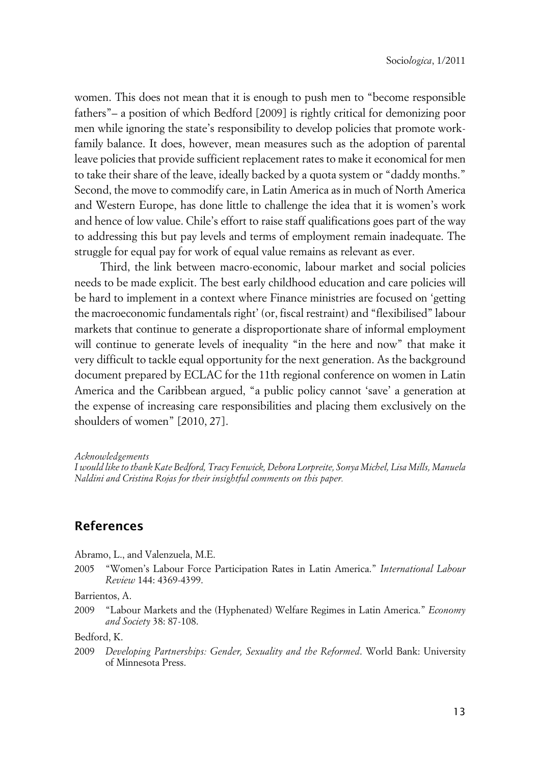women. This does not mean that it is enough to push men to "become responsible fathers"– a position of which Bedford [2009] is rightly critical for demonizing poor men while ignoring the state's responsibility to develop policies that promote workfamily balance. It does, however, mean measures such as the adoption of parental leave policies that provide sufficient replacement rates to make it economical for men to take their share of the leave, ideally backed by a quota system or "daddy months." Second, the move to commodify care, in Latin America as in much of North America and Western Europe, has done little to challenge the idea that it is women's work and hence of low value. Chile's effort to raise staff qualifications goes part of the way to addressing this but pay levels and terms of employment remain inadequate. The struggle for equal pay for work of equal value remains as relevant as ever.

Third, the link between macro-economic, labour market and social policies needs to be made explicit. The best early childhood education and care policies will be hard to implement in a context where Finance ministries are focused on 'getting the macroeconomic fundamentals right' (or, fiscal restraint) and "flexibilised" labour markets that continue to generate a disproportionate share of informal employment will continue to generate levels of inequality "in the here and now" that make it very difficult to tackle equal opportunity for the next generation. As the background document prepared by ECLAC for the 11th regional conference on women in Latin America and the Caribbean argued, "a public policy cannot 'save' a generation at the expense of increasing care responsibilities and placing them exclusively on the shoulders of women" [2010, 27].

*Acknowledgements*

*I would like to thank Kate Bedford, Tracy Fenwick, Debora Lorpreite, Sonya Michel, Lisa Mills, Manuela Naldini and Cristina Rojas for their insightful comments on this paper.*

## **References**

Abramo, L., and Valenzuela, M.E.

2005 "Women's Labour Force Participation Rates in Latin America." *International Labour Review* 144: 4369-4399.

### Barrientos, A.

2009 "Labour Markets and the (Hyphenated) Welfare Regimes in Latin America." *Economy and Society* 38: 87-108.

Bedford, K.

2009 *Developing Partnerships: Gender, Sexuality and the Reformed*. World Bank: University of Minnesota Press.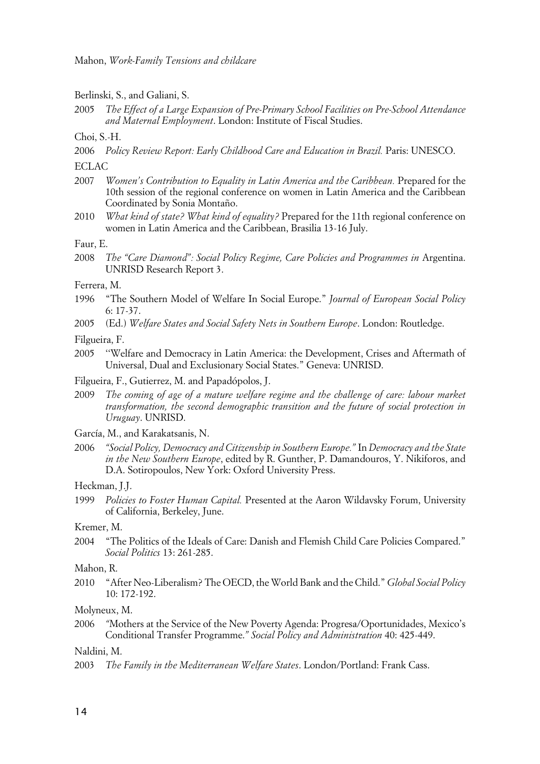Berlinski, S., and Galiani, S.

2005 *The Effect of a Large Expansion of Pre-Primary School Facilities on Pre-School Attendance and Maternal Employment*. London: Institute of Fiscal Studies.

Choi, S.-H.

2006 *Policy Review Report: Early Childhood Care and Education in Brazil.* Paris: UNESCO.

ECLAC

- 2007 *Women's Contribution to Equality in Latin America and the Caribbean.* Prepared for the 10th session of the regional conference on women in Latin America and the Caribbean Coordinated by Sonia Montaño.
- 2010 *What kind of state? What kind of equality?* Prepared for the 11th regional conference on women in Latin America and the Caribbean, Brasilia 13-16 July.

Faur, E.

2008 *The "Care Diamond": Social Policy Regime, Care Policies and Programmes in Argentina.* UNRISD Research Report 3.

Ferrera, M.

- 1996 "The Southern Model of Welfare In Social Europe." *Journal of European Social Policy* 6: 17-37.
- 2005 (Ed.) *Welfare States and Social Safety Nets in Southern Europe*. London: Routledge.

Filgueira, F.

- 2005 ''Welfare and Democracy in Latin America: the Development, Crises and Aftermath of Universal, Dual and Exclusionary Social States." Geneva: UNRISD.
- Filgueira, F., Gutierrez, M. and Papadópolos, J.
- 2009 *The coming of age of a mature welfare regime and the challenge of care: labour market transformation, the second demographic transition and the future of social protection in Uruguay*. UNRISD.
- García, M., and Karakatsanis, N.
- 2006 *"Social Policy, Democracy and Citizenship in Southern Europe."* In *Democracy and the State in the New Southern Europe*, edited by R. Gunther, P. Damandouros, Y. Nikiforos, and D.A. Sotiropoulos, New York: Oxford University Press.

Heckman, J.J.

1999 *Policies to Foster Human Capital.* Presented at the Aaron Wildavsky Forum, University of California, Berkeley, June.

Kremer, M.

2004 "The Politics of the Ideals of Care: Danish and Flemish Child Care Policies Compared." *Social Politics* 13: 261-285.

Mahon, R.

2010 "After Neo-Liberalism? The OECD, the World Bank and the Child." *Global Social Policy* 10: 172-192.

Molyneux, M.

2006 *"*Mothers at the Service of the New Poverty Agenda: Progresa/Oportunidades, Mexico's Conditional Transfer Programme.*" Social Policy and Administration* 40: 425-449.

Naldini, M.

2003 *The Family in the Mediterranean Welfare States*. London/Portland: Frank Cass.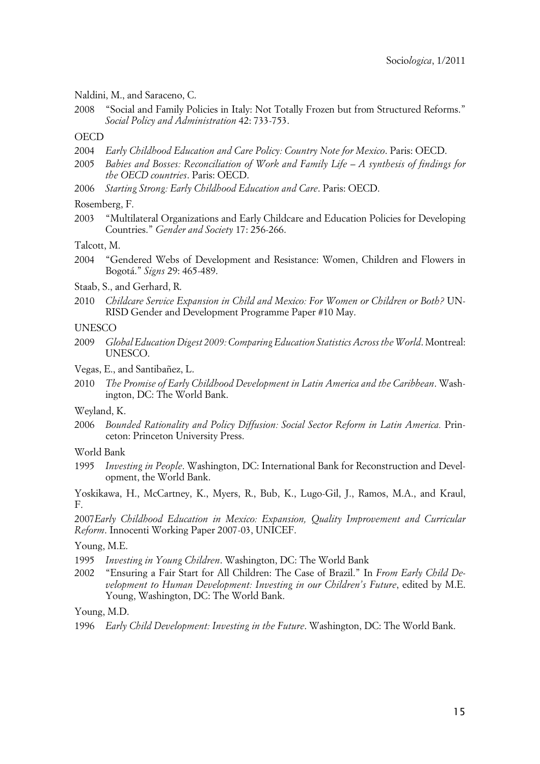Naldini, M., and Saraceno, C.

2008 "Social and Family Policies in Italy: Not Totally Frozen but from Structured Reforms." *Social Policy and Administration* 42: 733-753.

#### **OECD**

- 2004 *Early Childhood Education and Care Policy: Country Note for Mexico*. Paris: OECD.
- 2005 *Babies and Bosses: Reconciliation of Work and Family Life A synthesis of findings for the OECD countries*. Paris: OECD.
- 2006 *Starting Strong: Early Childhood Education and Care*. Paris: OECD.
- Rosemberg, F.
- 2003 "Multilateral Organizations and Early Childcare and Education Policies for Developing Countries." *Gender and Society* 17: 256-266.

Talcott, M.

- 2004 "Gendered Webs of Development and Resistance: Women, Children and Flowers in Bogotá." *Signs* 29: 465-489.
- Staab, S., and Gerhard, R.
- 2010 *Childcare Service Expansion in Child and Mexico: For Women or Children or Both?* UN-RISD Gender and Development Programme Paper #10 May.

#### **UNESCO**

- 2009 *Global Education Digest 2009: Comparing Education Statistics Across the World*. Montreal: UNESCO.
- Vegas, E., and Santibañez, L.
- 2010 *The Promise of Early Childhood Development in Latin America and the Caribbean*. Washington, DC: The World Bank.

#### Weyland, K.

- 2006 *Bounded Rationality and Policy Diffusion: Social Sector Reform in Latin America.* Princeton: Princeton University Press.
- World Bank
- 1995 *Investing in People*. Washington, DC: International Bank for Reconstruction and Development, the World Bank.

Yoskikawa, H., McCartney, K., Myers, R., Bub, K., Lugo-Gil, J., Ramos, M.A., and Kraul, F.

2007*Early Childhood Education in Mexico: Expansion, Quality Improvement and Curricular Reform*. Innocenti Working Paper 2007-03, UNICEF.

#### Young, M.E.

- 1995 *Investing in Young Children*. Washington, DC: The World Bank
- 2002 "Ensuring a Fair Start for All Children: The Case of Brazil." In *From Early Child Development to Human Development: Investing in our Children's Future*, edited by M.E. Young, Washington, DC: The World Bank.

Young, M.D.

1996 *Early Child Development: Investing in the Future*. Washington, DC: The World Bank.